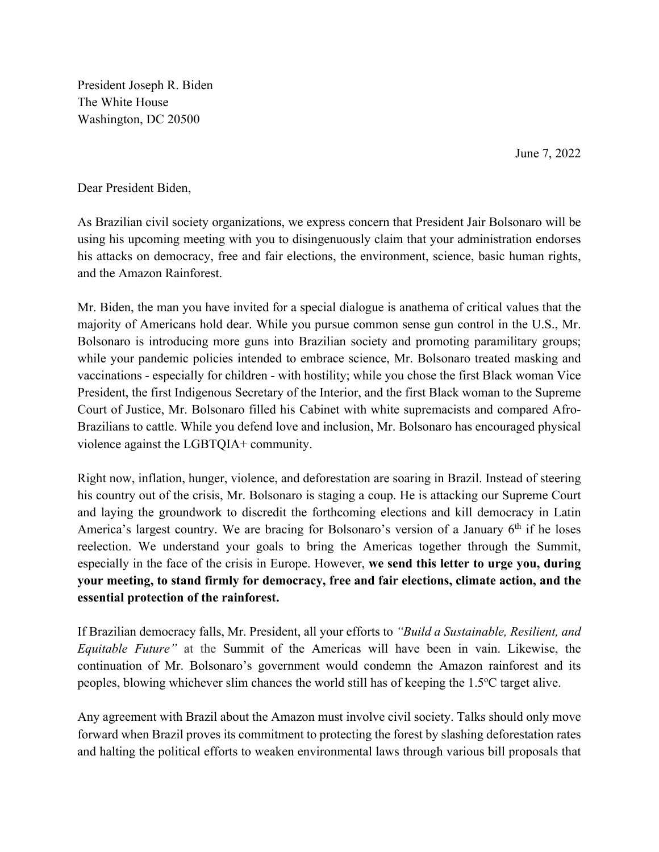President Joseph R. Biden The White House Washington, DC 20500

June 7, 2022

Dear President Biden,

As Brazilian civil society organizations, we express concern that President Jair Bolsonaro will be using his upcoming meeting with you to disingenuously claim that your administration endorses his attacks on democracy, free and fair elections, the environment, science, basic human rights, and the Amazon Rainforest.

Mr. Biden, the man you have invited for a special dialogue is anathema of critical values that the majority of Americans hold dear. While you pursue common sense gun control in the U.S., Mr. Bolsonaro is introducing more guns into Brazilian society and promoting paramilitary groups; while your pandemic policies intended to embrace science, Mr. Bolsonaro treated masking and vaccinations - especially for children - with hostility; while you chose the first Black woman Vice President, the first Indigenous Secretary of the Interior, and the first Black woman to the Supreme Court of Justice, Mr. Bolsonaro filled his Cabinet with white supremacists and compared Afro-Brazilians to cattle. While you defend love and inclusion, Mr. Bolsonaro has encouraged physical violence against the LGBTQIA+ community.

Right now, inflation, hunger, violence, and deforestation are soaring in Brazil. Instead of steering his country out of the crisis, Mr. Bolsonaro is staging a coup. He is attacking our Supreme Court and laying the groundwork to discredit the forthcoming elections and kill democracy in Latin America's largest country. We are bracing for Bolsonaro's version of a January  $6<sup>th</sup>$  if he loses reelection. We understand your goals to bring the Americas together through the Summit, especially in the face of the crisis in Europe. However, **we send this letter to urge you, during your meeting, to stand firmly for democracy, free and fair elections, climate action, and the essential protection of the rainforest.**

If Brazilian democracy falls, Mr. President, all your efforts to *"Build a Sustainable, Resilient, and Equitable Future"* at the Summit of the Americas will have been in vain. Likewise, the continuation of Mr. Bolsonaro's government would condemn the Amazon rainforest and its peoples, blowing whichever slim chances the world still has of keeping the 1.5°C target alive.

Any agreement with Brazil about the Amazon must involve civil society. Talks should only move forward when Brazil proves its commitment to protecting the forest by slashing deforestation rates and halting the political efforts to weaken environmental laws through various bill proposals that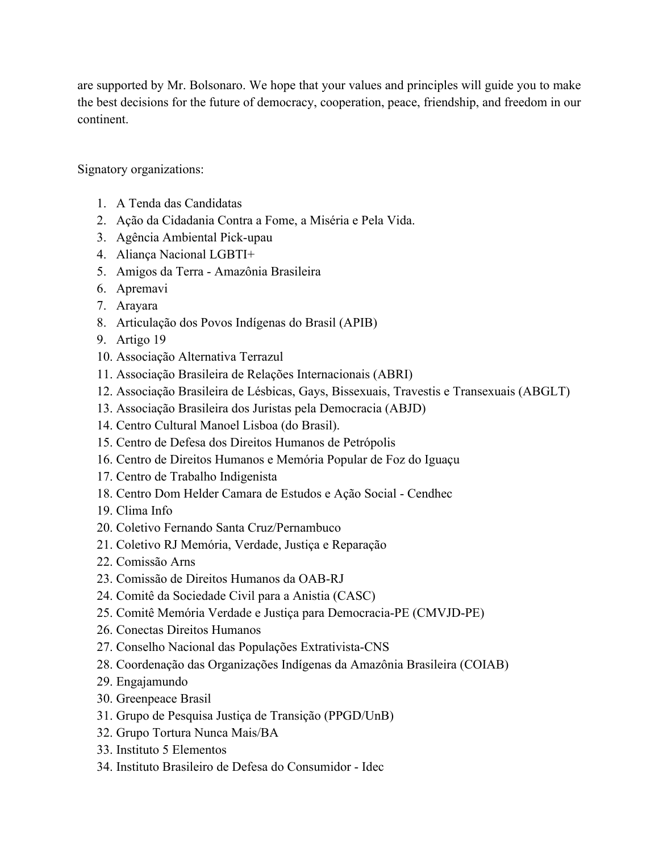are supported by Mr. Bolsonaro. We hope that your values and principles will guide you to make the best decisions for the future of democracy, cooperation, peace, friendship, and freedom in our continent.

Signatory organizations:

- 1. A Tenda das Candidatas
- 2. Ação da Cidadania Contra a Fome, a Miséria e Pela Vida.
- 3. Agência Ambiental Pick-upau
- 4. Aliança Nacional LGBTI+
- 5. Amigos da Terra Amazônia Brasileira
- 6. Apremavi
- 7. Arayara
- 8. Articulação dos Povos Indígenas do Brasil (APIB)
- 9. Artigo 19
- 10. Associação Alternativa Terrazul
- 11. Associação Brasileira de Relações Internacionais (ABRI)
- 12. Associação Brasileira de Lésbicas, Gays, Bissexuais, Travestis e Transexuais (ABGLT)
- 13. Associação Brasileira dos Juristas pela Democracia (ABJD)
- 14. Centro Cultural Manoel Lisboa (do Brasil).
- 15. Centro de Defesa dos Direitos Humanos de Petrópolis
- 16. Centro de Direitos Humanos e Memória Popular de Foz do Iguaçu
- 17. Centro de Trabalho Indigenista
- 18. Centro Dom Helder Camara de Estudos e Ação Social Cendhec
- 19. Clima Info
- 20. Coletivo Fernando Santa Cruz/Pernambuco
- 21. Coletivo RJ Memória, Verdade, Justiça e Reparação
- 22. Comissão Arns
- 23. Comissão de Direitos Humanos da OAB-RJ
- 24. Comitê da Sociedade Civil para a Anistia (CASC)
- 25. Comitê Memória Verdade e Justiça para Democracia-PE (CMVJD-PE)
- 26. Conectas Direitos Humanos
- 27. Conselho Nacional das Populações Extrativista-CNS
- 28. Coordenação das Organizações Indígenas da Amazônia Brasileira (COIAB)
- 29. Engajamundo
- 30. Greenpeace Brasil
- 31. Grupo de Pesquisa Justiça de Transição (PPGD/UnB)
- 32. Grupo Tortura Nunca Mais/BA
- 33. Instituto 5 Elementos
- 34. Instituto Brasileiro de Defesa do Consumidor Idec